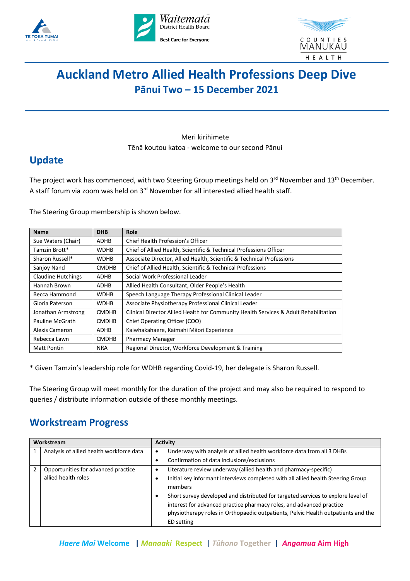





# **Auckland Metro Allied Health Professions Deep Dive Pānui Two – 15 December 2021**

Meri kirihimete Tēnā koutou katoa - welcome to our second Pānui

# **Update**

The project work has commenced, with two Steering Group meetings held on 3<sup>rd</sup> November and 13<sup>th</sup> December. A staff forum via zoom was held on 3rd November for all interested allied health staff.

The Steering Group membership is shown below.

| <b>Name</b>               | <b>DHB</b>   | Role                                                                                 |
|---------------------------|--------------|--------------------------------------------------------------------------------------|
| Sue Waters (Chair)        | ADHB         | Chief Health Profession's Officer                                                    |
| Tamzin Brott*             | <b>WDHB</b>  | Chief of Allied Health, Scientific & Technical Professions Officer                   |
| Sharon Russell*           | <b>WDHB</b>  | Associate Director, Allied Health, Scientific & Technical Professions                |
| Sanjoy Nand               | <b>CMDHB</b> | Chief of Allied Health, Scientific & Technical Professions                           |
| <b>Claudine Hutchings</b> | <b>ADHB</b>  | Social Work Professional Leader                                                      |
| Hannah Brown              | <b>ADHB</b>  | Allied Health Consultant, Older People's Health                                      |
| Becca Hammond             | <b>WDHB</b>  | Speech Language Therapy Professional Clinical Leader                                 |
| Gloria Paterson           | <b>WDHB</b>  | Associate Physiotherapy Professional Clinical Leader                                 |
| Jonathan Armstrong        | <b>CMDHB</b> | Clinical Director Allied Health for Community Health Services & Adult Rehabilitation |
| Pauline McGrath           | <b>CMDHB</b> | Chief Operating Officer (COO)                                                        |
| Alexis Cameron            | <b>ADHB</b>  | Kaiwhakahaere, Kaimahi Māori Experience                                              |
| Rebecca Lawn              | <b>CMDHB</b> | <b>Pharmacy Manager</b>                                                              |
| <b>Matt Pontin</b>        | <b>NRA</b>   | Regional Director, Workforce Development & Training                                  |

\* Given Tamzin's leadership role for WDHB regarding Covid-19, her delegate is Sharon Russell.

The Steering Group will meet monthly for the duration of the project and may also be required to respond to queries / distribute information outside of these monthly meetings.

# **Workstream Progress**

| Workstream     |                                          | <b>Activity</b>                                                                                                                                                                                                                                             |
|----------------|------------------------------------------|-------------------------------------------------------------------------------------------------------------------------------------------------------------------------------------------------------------------------------------------------------------|
| 1              | Analysis of allied health workforce data | Underway with analysis of allied health workforce data from all 3 DHBs                                                                                                                                                                                      |
|                |                                          | Confirmation of data inclusions/exclusions                                                                                                                                                                                                                  |
| $\mathfrak{p}$ | Opportunities for advanced practice      | Literature review underway (allied health and pharmacy-specific)                                                                                                                                                                                            |
|                | allied health roles                      | Initial key informant interviews completed with all allied health Steering Group<br>members                                                                                                                                                                 |
|                |                                          | Short survey developed and distributed for targeted services to explore level of<br>interest for advanced practice pharmacy roles, and advanced practice<br>physiotherapy roles in Orthopaedic outpatients, Pelvic Health outpatients and the<br>ED setting |